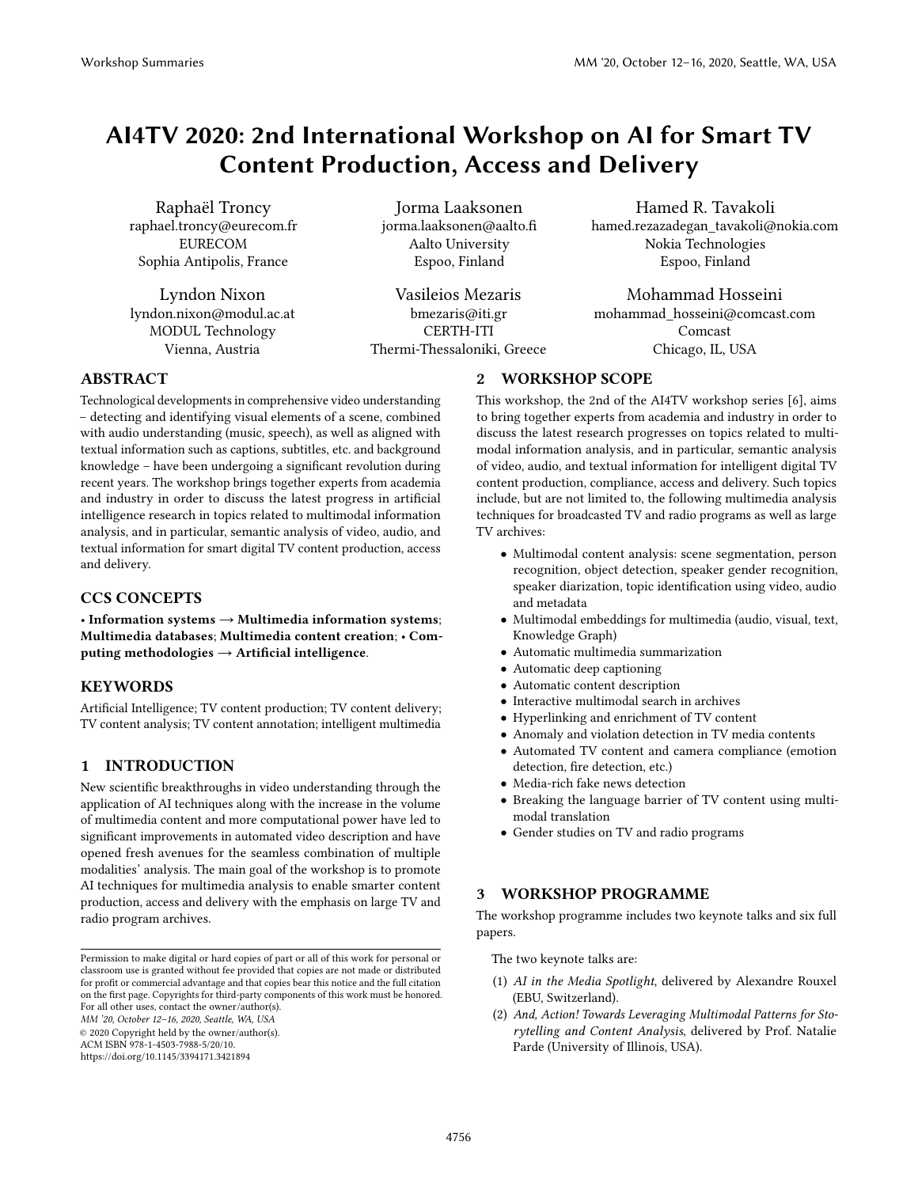# AI4TV 2020: 2nd International Workshop on AI for Smart TV Content Production, Access and Delivery

Raphaël Troncy raphael.troncy@eurecom.fr EURECOM Sophia Antipolis, France

Lyndon Nixon lyndon.nixon@modul.ac.at MODUL Technology Vienna, Austria

Jorma Laaksonen jorma.laaksonen@aalto.fi Aalto University Espoo, Finland

Vasileios Mezaris bmezaris@iti.gr CERTH-ITI Thermi-Thessaloniki, Greece

Hamed R. Tavakoli hamed.rezazadegan\_tavakoli@nokia.com Nokia Technologies Espoo, Finland

Mohammad Hosseini mohammad\_hosseini@comcast.com Comcast Chicago, IL, USA

# ABSTRACT

Technological developments in comprehensive video understanding – detecting and identifying visual elements of a scene, combined with audio understanding (music, speech), as well as aligned with textual information such as captions, subtitles, etc. and background knowledge – have been undergoing a significant revolution during recent years. The workshop brings together experts from academia and industry in order to discuss the latest progress in artificial intelligence research in topics related to multimodal information analysis, and in particular, semantic analysis of video, audio, and textual information for smart digital TV content production, access and delivery.

## CCS CONCEPTS

• Information systems  $\rightarrow$  Multimedia information systems; Multimedia databases; Multimedia content creation; • Computing methodologies  $\rightarrow$  Artificial intelligence.

#### **KEYWORDS**

Artificial Intelligence; TV content production; TV content delivery; TV content analysis; TV content annotation; intelligent multimedia

# 1 INTRODUCTION

New scientific breakthroughs in video understanding through the application of AI techniques along with the increase in the volume of multimedia content and more computational power have led to significant improvements in automated video description and have opened fresh avenues for the seamless combination of multiple modalities' analysis. The main goal of the workshop is to promote AI techniques for multimedia analysis to enable smarter content production, access and delivery with the emphasis on large TV and radio program archives.

MM '20, October 12–16, 2020, Seattle, WA, USA

© 2020 Copyright held by the owner/author(s).

ACM ISBN 978-1-4503-7988-5/20/10.

<https://doi.org/10.1145/3394171.3421894>

# 2 WORKSHOP SCOPE

This workshop, the 2nd of the AI4TV workshop series [\[6\]](#page-1-0), aims to bring together experts from academia and industry in order to discuss the latest research progresses on topics related to multimodal information analysis, and in particular, semantic analysis of video, audio, and textual information for intelligent digital TV content production, compliance, access and delivery. Such topics include, but are not limited to, the following multimedia analysis techniques for broadcasted TV and radio programs as well as large TV archives:

- Multimodal content analysis: scene segmentation, person recognition, object detection, speaker gender recognition, speaker diarization, topic identification using video, audio and metadata
- Multimodal embeddings for multimedia (audio, visual, text, Knowledge Graph)
- Automatic multimedia summarization
- Automatic deep captioning
- Automatic content description
- Interactive multimodal search in archives
- Hyperlinking and enrichment of TV content
- Anomaly and violation detection in TV media contents
- Automated TV content and camera compliance (emotion detection, fire detection, etc.)
- Media-rich fake news detection
- Breaking the language barrier of TV content using multimodal translation
- Gender studies on TV and radio programs

## 3 WORKSHOP PROGRAMME

The workshop programme includes two keynote talks and six full papers.

The two keynote talks are:

- (1) AI in the Media Spotlight, delivered by Alexandre Rouxel (EBU, Switzerland).
- (2) And, Action! Towards Leveraging Multimodal Patterns for Storytelling and Content Analysis, delivered by Prof. Natalie Parde (University of Illinois, USA).

Permission to make digital or hard copies of part or all of this work for personal or classroom use is granted without fee provided that copies are not made or distributed for profit or commercial advantage and that copies bear this notice and the full citation on the first page. Copyrights for third-party components of this work must be honored. For all other uses, contact the owner/author(s).